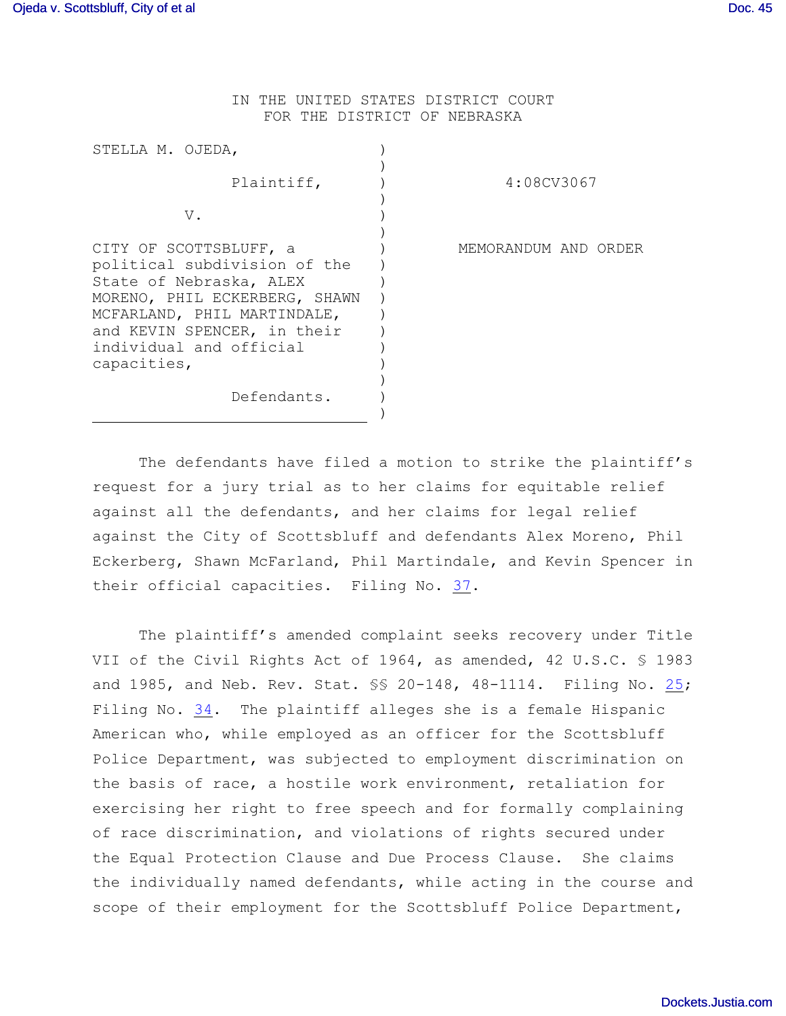IN THE UNITED STATES DISTRICT COURT FOR THE DISTRICT OF NEBRASKA

| STELLA M. OJEDA,                                                                                                                                                                                                           |                      |
|----------------------------------------------------------------------------------------------------------------------------------------------------------------------------------------------------------------------------|----------------------|
| Plaintiff,                                                                                                                                                                                                                 | 4:08CV3067           |
| V.                                                                                                                                                                                                                         |                      |
| CITY OF SCOTTSBLUFF, a<br>political subdivision of the<br>State of Nebraska, ALEX<br>MORENO, PHIL ECKERBERG, SHAWN<br>MCFARLAND, PHIL MARTINDALE,<br>and KEVIN SPENCER, in their<br>individual and official<br>capacities, | MEMORANDUM AND ORDER |
| Defendants.                                                                                                                                                                                                                |                      |

The defendants have filed a motion to strike the plaintiff's request for a jury trial as to her claims for equitable relief against all the defendants, and her claims for legal relief against the City of Scottsbluff and defendants Alex Moreno, Phil Eckerberg, Shawn McFarland, Phil Martindale, and Kevin Spencer in their official capacities. Filing No. [37](http://ecf.ned.uscourts.gov/doc1/11301553006).

The plaintiff's amended complaint seeks recovery under Title VII of the Civil Rights Act of 1964, as amended, 42 U.S.C. § 1983 and 1985, and Neb. Rev. Stat. §§ 20-148, 48-1114. Filing No. [25](http://ecf.ned.uscourts.gov/doc1/11301504750); Filing No. [34](http://ecf.ned.uscourts.gov/doc1/11301540754). The plaintiff alleges she is a female Hispanic American who, while employed as an officer for the Scottsbluff Police Department, was subjected to employment discrimination on the basis of race, a hostile work environment, retaliation for exercising her right to free speech and for formally complaining of race discrimination, and violations of rights secured under the Equal Protection Clause and Due Process Clause. She claims the individually named defendants, while acting in the course and scope of their employment for the Scottsbluff Police Department,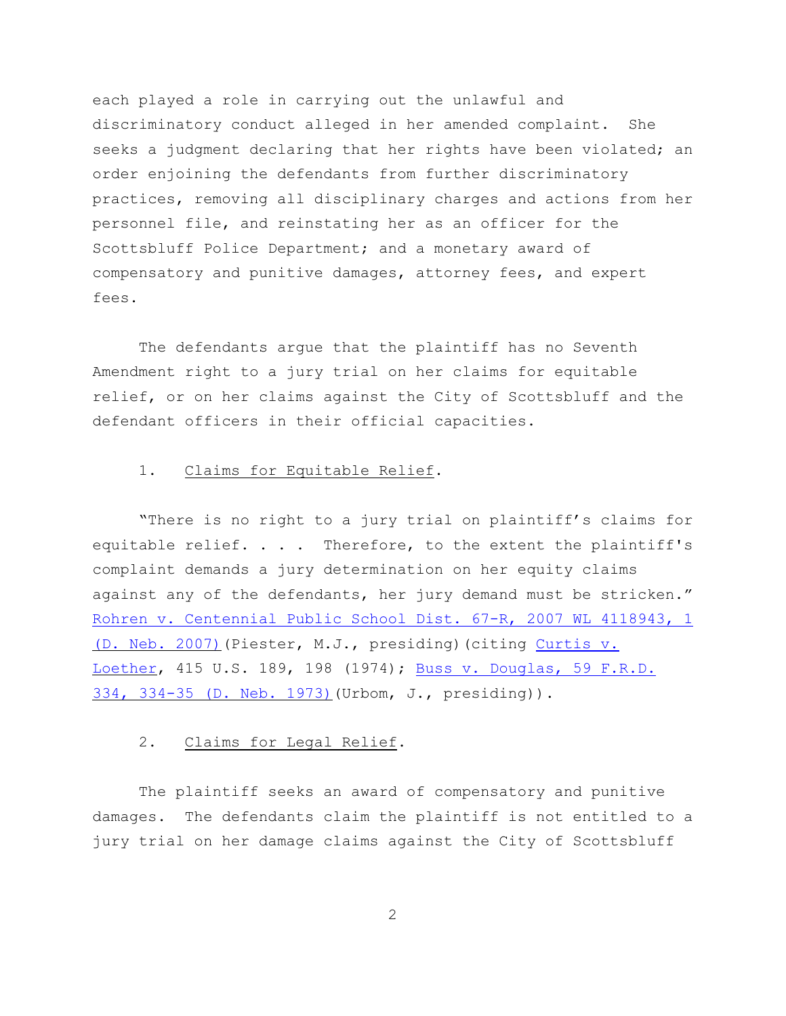each played a role in carrying out the unlawful and discriminatory conduct alleged in her amended complaint. She seeks a judgment declaring that her rights have been violated; an order enjoining the defendants from further discriminatory practices, removing all disciplinary charges and actions from her personnel file, and reinstating her as an officer for the Scottsbluff Police Department; and a monetary award of compensatory and punitive damages, attorney fees, and expert fees.

The defendants argue that the plaintiff has no Seventh Amendment right to a jury trial on her claims for equitable relief, or on her claims against the City of Scottsbluff and the defendant officers in their official capacities.

## 1. Claims for Equitable Relief.

"There is no right to a jury trial on plaintiff's claims for equitable relief.  $\ldots$  . Therefore, to the extent the plaintiff's complaint demands a jury determination on her equity claims against any of the defendants, her jury demand must be stricken." [Rohren v. Centennial Public School Dist. 67-R, 2007 WL 4118943, 1](http://www.westlaw.com/find/default.wl?rs=CLWP3.0&vr=2.0&cite=2007+WL+4118943) [\(D. Neb. 2007\)](http://www.westlaw.com/find/default.wl?rs=CLWP3.0&vr=2.0&cite=2007+WL+4118943)(Piester, M.J., presiding)(citing [Curtis v.](http://web2.westlaw.com/find/default.wl?fn=_top&rs=WLW8.10&rp=%2ffind%2fdefault.wl&mt=Westlaw&vr=2.0&sv=Split&cite=415+U.S.+189) [Loether](http://web2.westlaw.com/find/default.wl?fn=_top&rs=WLW8.10&rp=%2ffind%2fdefault.wl&mt=Westlaw&vr=2.0&sv=Split&cite=415+U.S.+189), 415 U.S. 189, 198 (1974); [Buss v. Douglas, 59 F.R.D.](http://web2.westlaw.com/find/default.wl?fn=_top&rs=WLW8.10&rp=%2ffind%2fdefault.wl&mt=Westlaw&vr=2.0&sv=Split&cite=59+F.R.D.+334) [334, 334-35 \(D. Neb. 1973\)](http://web2.westlaw.com/find/default.wl?fn=_top&rs=WLW8.10&rp=%2ffind%2fdefault.wl&mt=Westlaw&vr=2.0&sv=Split&cite=59+F.R.D.+334)(Urbom, J., presiding)).

## 2. Claims for Legal Relief.

The plaintiff seeks an award of compensatory and punitive damages. The defendants claim the plaintiff is not entitled to a jury trial on her damage claims against the City of Scottsbluff

2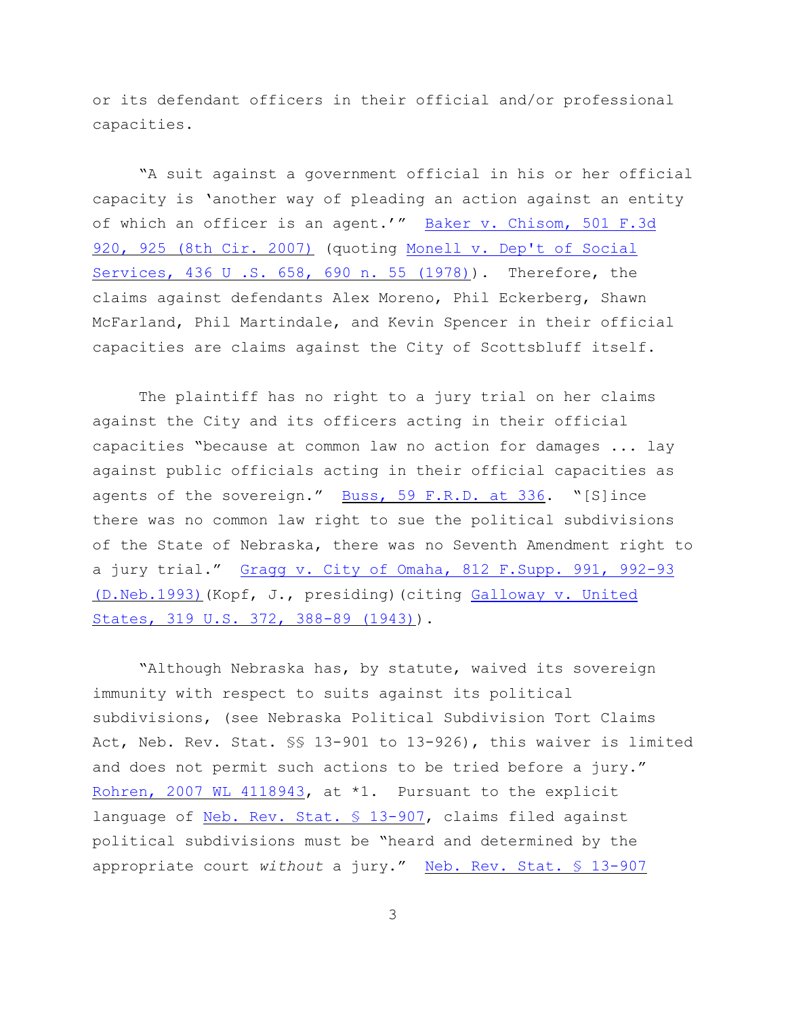or its defendant officers in their official and/or professional capacities.

"A suit against a government official in his or her official capacity is 'another way of pleading an action against an entity of which an officer is an agent.'" [Baker v. Chisom, 501 F.3d](http://www.westlaw.com/find/default.wl?rs=CLWP3.0&vr=2.0&cite=501+F.3d+920) [920, 925 \(8th Cir. 2007\)](http://www.westlaw.com/find/default.wl?rs=CLWP3.0&vr=2.0&cite=501+F.3d+920) (quoting [Monell v. Dep't of Social](http://web2.westlaw.com/find/default.wl?fn=_top&rs=WLW8.10&rp=%2ffind%2fdefault.wl&mt=Westlaw&vr=2.0&sv=Split&cite=436+U+.S.+658) [Services, 436 U .S. 658, 690 n. 55 \(1978\)](http://web2.westlaw.com/find/default.wl?fn=_top&rs=WLW8.10&rp=%2ffind%2fdefault.wl&mt=Westlaw&vr=2.0&sv=Split&cite=436+U+.S.+658)). Therefore, the claims against defendants Alex Moreno, Phil Eckerberg, Shawn McFarland, Phil Martindale, and Kevin Spencer in their official capacities are claims against the City of Scottsbluff itself.

The plaintiff has no right to a jury trial on her claims against the City and its officers acting in their official capacities "because at common law no action for damages ... lay against public officials acting in their official capacities as agents of the sovereign." [Buss, 59 F.R.D. at 336](http://www.westlaw.com/find/default.wl?rs=CLWP3.0&vr=2.0&cite=59+F.R.D.+336). "[S]ince there was no common law right to sue the political subdivisions of the State of Nebraska, there was no Seventh Amendment right to a jury trial." [Gragg v. City of Omaha, 812 F.Supp. 991, 992-93](http://www.westlaw.com/find/default.wl?rs=CLWP3.0&vr=2.0&cite=812+F.Supp.+991) [\(D.Neb.1993\)](http://www.westlaw.com/find/default.wl?rs=CLWP3.0&vr=2.0&cite=812+F.Supp.+991)(Kopf, J., presiding)(citing [Galloway v. United](http://web2.westlaw.com/find/default.wl?fn=_top&rs=WLW8.10&rp=%2ffind%2fdefault.wl&mt=Westlaw&vr=2.0&sv=Split&cite=319+U.S.+372) [States, 319 U.S. 372, 388-89 \(1943\)](http://web2.westlaw.com/find/default.wl?fn=_top&rs=WLW8.10&rp=%2ffind%2fdefault.wl&mt=Westlaw&vr=2.0&sv=Split&cite=319+U.S.+372).

"Although Nebraska has, by statute, waived its sovereign immunity with respect to suits against its political subdivisions, (see Nebraska Political Subdivision Tort Claims Act, Neb. Rev. Stat. §§ 13-901 to 13-926), this waiver is limited and does not permit such actions to be tried before a jury." [Rohren, 2007 WL 4118943](http://www.westlaw.com/find/default.wl?rs=CLWP3.0&vr=2.0&cite=2007+WL+4118943), at \*1. Pursuant to the explicit language of [Neb. Rev. Stat. § 13-907](http://www.westlaw.com/find/default.wl?rs=CLWP3.0&vr=2.0&cite=NE+ST+s+13-907), claims filed against political subdivisions must be "heard and determined by the appropriate court *without* a jury." [Neb. Rev. Stat. § 13-907](http://www.westlaw.com/find/default.wl?rs=CLWP3.0&vr=2.0&cite=NE+ST+s+13-907)

3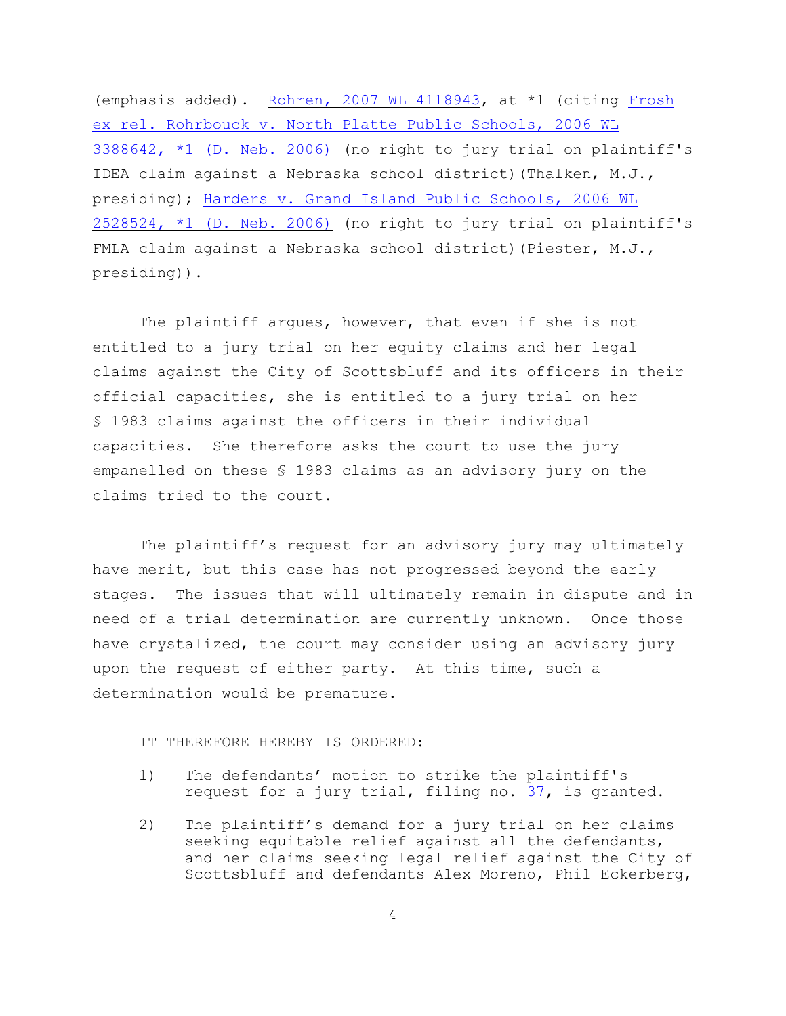(emphasis added). [Rohren, 2007 WL 4118943](http://www.westlaw.com/find/default.wl?rs=CLWP3.0&vr=2.0&cite=2007+WL+4118943), at \*1 (citing [Frosh](http://www.westlaw.com/find/default.wl?rs=CLWP3.0&vr=2.0&cite=2006+WL+3388642) [ex rel. Rohrbouck v. North Platte Public Schools, 2006 WL](http://www.westlaw.com/find/default.wl?rs=CLWP3.0&vr=2.0&cite=2006+WL+3388642) [3388642, \\*1 \(D. Neb. 2006\)](http://www.westlaw.com/find/default.wl?rs=CLWP3.0&vr=2.0&cite=2006+WL+3388642) (no right to jury trial on plaintiff's IDEA claim against a Nebraska school district)(Thalken, M.J., presiding); [Harders v. Grand Island Public Schools, 2006 WL](http://www.westlaw.com/find/default.wl?rs=CLWP3.0&vr=2.0&cite=2006+WL+2528524) [2528524, \\*1 \(D. Neb. 2006\)](http://www.westlaw.com/find/default.wl?rs=CLWP3.0&vr=2.0&cite=2006+WL+2528524) (no right to jury trial on plaintiff's FMLA claim against a Nebraska school district)(Piester, M.J., presiding)).

The plaintiff argues, however, that even if she is not entitled to a jury trial on her equity claims and her legal claims against the City of Scottsbluff and its officers in their official capacities, she is entitled to a jury trial on her § 1983 claims against the officers in their individual capacities. She therefore asks the court to use the jury empanelled on these § 1983 claims as an advisory jury on the claims tried to the court.

The plaintiff's request for an advisory jury may ultimately have merit, but this case has not progressed beyond the early stages. The issues that will ultimately remain in dispute and in need of a trial determination are currently unknown. Once those have crystalized, the court may consider using an advisory jury upon the request of either party. At this time, such a determination would be premature.

- IT THEREFORE HEREBY IS ORDERED:
- 1) The defendants' motion to strike the plaintiff's request for a jury trial, filing no. [37](http://ecf.ned.uscourts.gov/doc1/11301553006), is granted.
- 2) The plaintiff's demand for a jury trial on her claims seeking equitable relief against all the defendants, and her claims seeking legal relief against the City of Scottsbluff and defendants Alex Moreno, Phil Eckerberg,

4